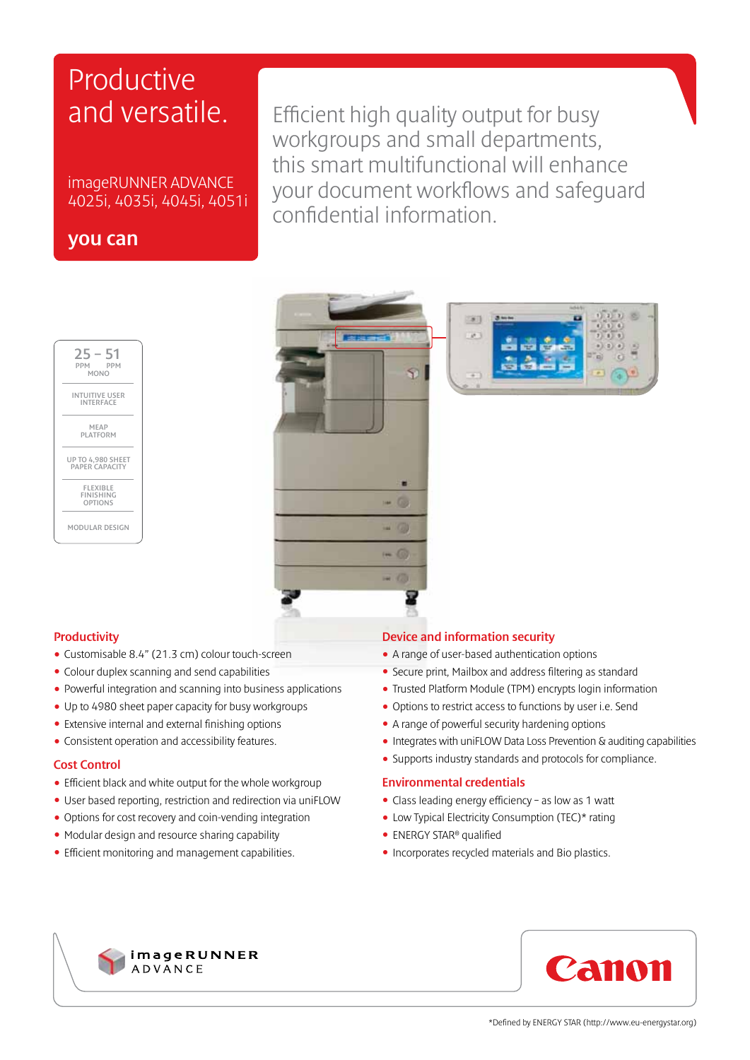# Productive and versatile.

imageRUNNER ADVANCE 4025i, 4035i, 4045i, 4051i

## you can

Efficient high quality output for busy workgroups and small departments, this smart multifunctional will enhance your document workflows and safeguard confidential information.







### **Productivity**

- Customisable 8.4" (21.3 cm) colour touch-screen
- Colour duplex scanning and send capabilities
- Powerful integration and scanning into business applications
- Up to 4980 sheet paper capacity for busy workgroups
- Extensive internal and external finishing options
- Consistent operation and accessibility features.

### Cost Control

- Efficient black and white output for the whole workgroup
- User based reporting, restriction and redirection via uniFLOW
- Options for cost recovery and coin-vending integration
- Modular design and resource sharing capability
- Efficient monitoring and management capabilities.

#### Device and information security

- A range of user-based authentication options
- Secure print, Mailbox and address filtering as standard
- Trusted Platform Module (TPM) encrypts login information
- Options to restrict access to functions by user i.e. Send
- A range of powerful security hardening options
- Integrates with uniFLOW Data Loss Prevention & auditing capabilities
- Supports industry standards and protocols for compliance.

#### Environmental credentials

- Class leading energy efficiency as low as 1 watt
- Low Typical Electricity Consumption (TEC)\* rating
- ENERGY STAR® qualified
- Incorporates recycled materials and Bio plastics.



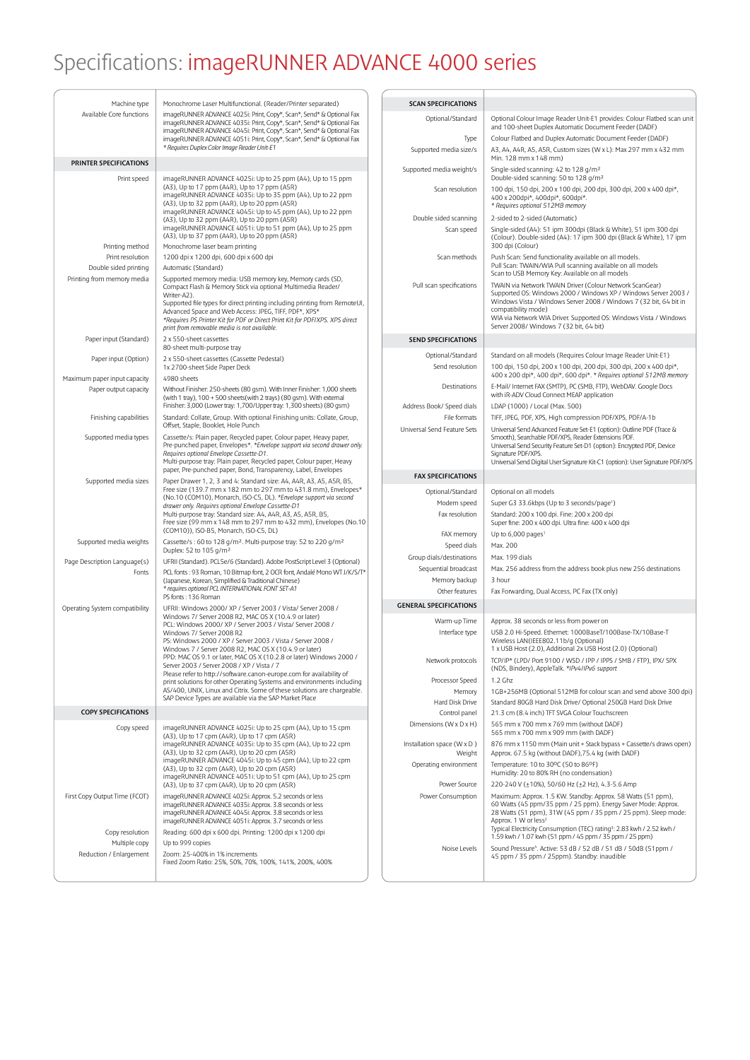# Specifications: imageRUNNER ADVANCE 4000 series

| Machine type                                          | Monochrome Laser Multifunctional. (Reader/Printer separated)                                                                                                                                                                                                                                                                                                                                                    | <b>SCAN SPECIFICATIONS</b>                      |                                                                                                                                                                                                                                                                                                                                          |
|-------------------------------------------------------|-----------------------------------------------------------------------------------------------------------------------------------------------------------------------------------------------------------------------------------------------------------------------------------------------------------------------------------------------------------------------------------------------------------------|-------------------------------------------------|------------------------------------------------------------------------------------------------------------------------------------------------------------------------------------------------------------------------------------------------------------------------------------------------------------------------------------------|
| Available Core functions                              | imageRUNNER ADVANCE 4025i: Print, Copy*, Scan*, Send* & Optional Fax<br>imageRUNNER ADVANCE 4035i: Print, Copy*, Scan*, Send* & Optional Fax                                                                                                                                                                                                                                                                    | Optional/Standard                               | Optional Colour Image Reader Unit-E1 provides: Colour Flatbed scan unit                                                                                                                                                                                                                                                                  |
|                                                       | imageRUNNER ADVANCE 4045i: Print, Copy*, Scan*, Send* & Optional Fax<br>imageRUNNER ADVANCE 4051i: Print, Copy*, Scan*, Send* & Optional Fax                                                                                                                                                                                                                                                                    | Type                                            | and 100-sheet Duplex Automatic Document Feeder (DADF)<br>Colour Flatbed and Duplex Automatic Document Feeder (DADF)                                                                                                                                                                                                                      |
|                                                       | * Requires Duplex Color Image Reader Unit-E1                                                                                                                                                                                                                                                                                                                                                                    | Supported media size/s                          | A3, A4, A4R, A5, A5R, Custom sizes (W x L): Max 297 mm x 432 mm<br>Min. 128 mm x 148 mm)                                                                                                                                                                                                                                                 |
| PRINTER SPECIFICATIONS                                |                                                                                                                                                                                                                                                                                                                                                                                                                 | Supported media weight/s                        | Single-sided scanning: 42 to 128 g/m <sup>2</sup><br>Double-sided scanning: 50 to 128 g/m <sup>2</sup>                                                                                                                                                                                                                                   |
| Print speed                                           | imageRUNNER ADVANCE 4025i: Up to 25 ppm (A4), Up to 15 ppm<br>(A3), Up to 17 ppm (A4R), Up to 17 ppm (A5R)<br>imageRUNNER ADVANCE 4035i: Up to 35 ppm (A4), Up to 22 ppm<br>(A3), Up to 32 ppm (A4R), Up to 20 ppm (A5R)                                                                                                                                                                                        | Scan resolution                                 | 100 dpi, 150 dpi, 200 x 100 dpi, 200 dpi, 300 dpi, 200 x 400 dpi*,<br>400 x 200dpi*, 400dpi*, 600dpi*.<br>* Requires optional 512MB memory                                                                                                                                                                                               |
|                                                       | imageRUNNER ADVANCE 4045i: Up to 45 ppm (A4), Up to 22 ppm<br>(A3), Up to 32 ppm (A4R), Up to 20 ppm (A5R)                                                                                                                                                                                                                                                                                                      | Double sided scanning                           | 2-sided to 2-sided (Automatic)                                                                                                                                                                                                                                                                                                           |
|                                                       | imageRUNNER ADVANCE 4051i: Up to 51 ppm (A4), Up to 25 ppm<br>(A3), Up to 37 ppm (A4R), Up to 20 ppm (A5R)                                                                                                                                                                                                                                                                                                      | Scan speed                                      | Single-sided (A4): 51 ipm 300dpi (Black & White), 51 ipm 300 dpi<br>(Colour). Double-sided (A4): 17 ipm 300 dpi (Black & White), 17 ipm<br>300 dpi (Colour)                                                                                                                                                                              |
| Printing method<br>Print resolution                   | Monochrome laser beam printing<br>1200 dpi x 1200 dpi, 600 dpi x 600 dpi                                                                                                                                                                                                                                                                                                                                        | Scan methods                                    | Push Scan: Send functionality available on all models.                                                                                                                                                                                                                                                                                   |
| Double sided printing                                 | Automatic (Standard)                                                                                                                                                                                                                                                                                                                                                                                            |                                                 | Pull Scan: TWAIN/WIA Pull scanning available on all models<br>Scan to USB Memory Key: Available on all models                                                                                                                                                                                                                            |
| Printing from memory media                            | Supported memory media: USB memory key, Memory cards (SD,<br>Compact Flash & Memory Stick via optional Multimedia Reader/<br>Writer-A2).<br>Supported file types for direct printing including printing from RemoteUI,<br>Advanced Space and Web Access: JPEG, TIFF, PDF*, XPS*<br>*Requires PS Printer Kit for PDF or Direct Print Kit for PDF/XPS. XPS direct<br>print from removable media is not available. | Pull scan specifications                        | TWAIN via Network TWAIN Driver (Colour Network ScanGear)<br>Supported OS: Windows 2000 / Windows XP / Windows Server 2003 /<br>Windows Vista / Windows Server 2008 / Windows 7 (32 bit, 64 bit in<br>compatibility mode)<br>WIA via Network WIA Driver. Supported OS: Windows Vista / Windows<br>Server 2008/ Windows 7 (32 bit, 64 bit) |
| Paper input (Standard)                                | 2 x 550-sheet cassettes                                                                                                                                                                                                                                                                                                                                                                                         | <b>SEND SPECIFICATIONS</b>                      |                                                                                                                                                                                                                                                                                                                                          |
| Paper input (Option)                                  | 80-sheet multi-purpose tray<br>2 x 550-sheet cassettes (Cassette Pedestal)                                                                                                                                                                                                                                                                                                                                      | Optional/Standard                               | Standard on all models (Requires Colour Image Reader Unit-E1)                                                                                                                                                                                                                                                                            |
|                                                       | 1x 2700-sheet Side Paper Deck                                                                                                                                                                                                                                                                                                                                                                                   | Send resolution                                 | 100 dpi, 150 dpi, 200 x 100 dpi, 200 dpi, 300 dpi, 200 x 400 dpi*,<br>400 x 200 dpi*, 400 dpi*, 600 dpi*. * Requires optional 512MB memory                                                                                                                                                                                               |
| Maximum paper input capacity<br>Paper output capacity | 4980 sheets<br>Without Finisher: 250-sheets (80 gsm). With Inner Finisher: 1,000 sheets<br>(with 1 tray), 100 + 500 sheets(with 2 trays) (80 gsm). With external                                                                                                                                                                                                                                                | Destinations                                    | E-Mail/ Internet FAX (SMTP), PC (SMB, FTP), WebDAV. Google Docs<br>with iR-ADV Cloud Connect MEAP application                                                                                                                                                                                                                            |
|                                                       | Finisher: 3,000 (Lower tray: 1,700/Upper tray: 1,300 sheets) (80 gsm)                                                                                                                                                                                                                                                                                                                                           | Address Book/ Speed dials                       | LDAP (1000) / Local (Max. 500)                                                                                                                                                                                                                                                                                                           |
| Finishing capabilities                                | Standard: Collate, Group. With optional Finishing units: Collate, Group,<br>Offset, Staple, Booklet, Hole Punch                                                                                                                                                                                                                                                                                                 | File formats<br>Universal Send Feature Sets     | TIFF, JPEG, PDF, XPS, High compression PDF/XPS, PDF/A-1b<br>Universal Send Advanced Feature Set-E1 (option): Outline PDF (Trace &                                                                                                                                                                                                        |
| Supported media types                                 | Cassette/s: Plain paper, Recycled paper, Colour paper, Heavy paper,<br>Pre-punched paper, Envelopes*. *Envelope support via second drawer only.<br>Requires optional Envelope Cassette-D1.<br>Multi-purpose tray: Plain paper, Recycled paper, Colour paper, Heavy                                                                                                                                              |                                                 | Smooth), Searchable PDF/XPS, Reader Extensions PDF.<br>Universal Send Security Feature Set-D1 (option): Encrypted PDF, Device<br>Signature PDF/XPS.                                                                                                                                                                                      |
|                                                       | paper, Pre-punched paper, Bond, Transparency, Label, Envelopes                                                                                                                                                                                                                                                                                                                                                  | <b>FAX SPECIFICATIONS</b>                       | Universal Send Digital User Signature Kit-C1 (option): User Signature PDF/XPS                                                                                                                                                                                                                                                            |
| Supported media sizes                                 | Paper Drawer 1, 2, 3 and 4: Standard size: A4, A4R, A3, A5, A5R, B5,<br>Free size (139.7 mm x 182 mm to 297 mm to 431.8 mm), Envelopes*                                                                                                                                                                                                                                                                         | Optional/Standard                               | Optional on all models                                                                                                                                                                                                                                                                                                                   |
|                                                       | (No.10 (COM10), Monarch, ISO-C5, DL). *Envelope support via second<br>drawer only. Requires optional Envelope Cassette-D1                                                                                                                                                                                                                                                                                       | Modem speed                                     | Super G3 33.6kbps (Up to 3 seconds/page <sup>1</sup> )                                                                                                                                                                                                                                                                                   |
|                                                       | Multi-purpose tray: Standard size: A4, A4R, A3, A5, A5R, B5,<br>Free size (99 mm x 148 mm to 297 mm to 432 mm), Envelopes (No.10<br>(COM10)), ISO-B5, Monarch, ISO-C5, DL)                                                                                                                                                                                                                                      | Fax resolution                                  | Standard: 200 x 100 dpi. Fine: 200 x 200 dpi<br>Super fine: 200 x 400 dpi. Ultra fine: 400 x 400 dpi                                                                                                                                                                                                                                     |
| Supported media weights                               | Cassette/s: 60 to 128 g/m <sup>2</sup> . Multi-purpose tray: 52 to 220 g/m <sup>2</sup>                                                                                                                                                                                                                                                                                                                         | FAX memory                                      | Up to 6,000 pages <sup>1</sup><br>Max. 200                                                                                                                                                                                                                                                                                               |
|                                                       | Duplex: 52 to 105 g/m <sup>2</sup>                                                                                                                                                                                                                                                                                                                                                                              | Speed dials<br>Group dials/destinations         | Max. 199 dials                                                                                                                                                                                                                                                                                                                           |
| Page Description Language(s)<br>Fonts                 | UFRII (Standard). PCL5e/6 (Standard). Adobe PostScript Level 3 (Optional)<br>PCL fonts: 93 Roman, 10 Bitmap font, 2 OCR font, Andalé Mono WT J/K/S/T*                                                                                                                                                                                                                                                           | Sequential broadcast                            | Max. 256 address from the address book plus new 256 destinations                                                                                                                                                                                                                                                                         |
|                                                       | (Japanese, Korean, Simplified & Traditional Chinese)<br>* requires optional PCL INTERNATIONAL FONT SET-A1                                                                                                                                                                                                                                                                                                       | Memory backup                                   | 3 hour                                                                                                                                                                                                                                                                                                                                   |
|                                                       | PS fonts: 136 Roman                                                                                                                                                                                                                                                                                                                                                                                             | Other features<br><b>GENERAL SPECIFICATIONS</b> | Fax Forwarding, Dual Access, PC Fax (TX only)                                                                                                                                                                                                                                                                                            |
| Operating System compatibility                        | UFRII: Windows 2000/ XP / Server 2003 / Vista/ Server 2008 /<br>Windows 7/ Server 2008 R2, MAC OS X (10.4.9 or later)                                                                                                                                                                                                                                                                                           |                                                 |                                                                                                                                                                                                                                                                                                                                          |
|                                                       | PCL: Windows 2000/ XP / Server 2003 / Vista/ Server 2008 /<br>Windows 7/ Server 2008 R2                                                                                                                                                                                                                                                                                                                         | Warm-up Time<br>Interface type                  | Approx. 38 seconds or less from power on<br>USB 2.0 Hi-Speed. Ethernet: 1000BaseT/100Base-TX/10Base-T                                                                                                                                                                                                                                    |
|                                                       | PS: Windows 2000 / XP / Server 2003 / Vista / Server 2008 /<br>Windows 7 / Server 2008 R2, MAC OS X (10.4.9 or later)                                                                                                                                                                                                                                                                                           |                                                 | Wireless LAN (IEEE802.11b/g (Optional)<br>1 x USB Host (2.0), Additional 2x USB Host (2.0) (Optional)                                                                                                                                                                                                                                    |
|                                                       | PPD: MAC OS 9.1 or later, MAC OS X (10.2.8 or later) Windows 2000 /<br>Server 2003 / Server 2008 / XP / Vista / 7<br>Please refer to http://software.canon-europe.com for availability of                                                                                                                                                                                                                       | Network protocols                               | TCP/IP* (LPD/ Port 9100 / WSD / IPP / IPPS / SMB / FTP), IPX/ SPX<br>(NDS, Bindery), AppleTalk. *IPv4/IPv6 support                                                                                                                                                                                                                       |
|                                                       | print solutions for other Operating Systems and environments including<br>AS/400, UNIX, Linux and Citrix. Some of these solutions are chargeable.                                                                                                                                                                                                                                                               | Processor Speed<br>Memory                       | 1.2 Ghz<br>1GB+256MB (Optional 512MB for colour scan and send above 300 dpi)                                                                                                                                                                                                                                                             |
|                                                       | SAP Device Types are available via the SAP Market Place                                                                                                                                                                                                                                                                                                                                                         | Hard Disk Drive                                 | Standard 80GB Hard Disk Drive/ Optional 250GB Hard Disk Drive                                                                                                                                                                                                                                                                            |
| <b>COPY SPECIFICATIONS</b>                            |                                                                                                                                                                                                                                                                                                                                                                                                                 | Control panel                                   | 21.3 cm (8.4 inch) TFT SVGA Colour Touchscreen                                                                                                                                                                                                                                                                                           |
| Copy speed                                            | imageRUNNER ADVANCE 4025i: Up to 25 cpm (A4), Up to 15 cpm<br>(A3), Up to 17 cpm (A4R), Up to 17 cpm (A5R)                                                                                                                                                                                                                                                                                                      | Dimensions (W x D x H)                          | 565 mm x 700 mm x 769 mm (without DADF)<br>565 mm x 700 mm x 909 mm (with DADF)                                                                                                                                                                                                                                                          |
|                                                       | imageRUNNER ADVANCE 4035i: Up to 35 cpm (A4), Up to 22 cpm<br>(A3), Up to 32 cpm (A4R), Up to 20 cpm (A5R)                                                                                                                                                                                                                                                                                                      | Installation space (W x D)<br>Weight            | 876 mm x 1150 mm (Main unit + Stack bypass + Cassette/s draws open)<br>Approx. 67.5 kg (without DADF), 75.4 kg (with DADF)                                                                                                                                                                                                               |
|                                                       | imageRUNNER ADVANCE 4045i: Up to 45 cpm (A4), Up to 22 cpm<br>(A3), Up to 32 cpm (A4R), Up to 20 cpm (A5R)                                                                                                                                                                                                                                                                                                      | Operating environment                           | Temperature: 10 to 30°C (50 to 86°F)                                                                                                                                                                                                                                                                                                     |
|                                                       | imageRUNNER ADVANCE 4051i: Up to 51 cpm (A4), Up to 25 cpm<br>(A3), Up to 37 cpm (A4R), Up to 20 cpm (A5R)                                                                                                                                                                                                                                                                                                      | Power Source                                    | Humidity: 20 to 80% RH (no condensation)<br>220-240 V (±10%), 50/60 Hz (±2 Hz), 4.3-5.6 Amp                                                                                                                                                                                                                                              |
| First Copy Output Time (FCOT)                         | imageRUNNER ADVANCE 4025i: Approx. 5.2 seconds or less                                                                                                                                                                                                                                                                                                                                                          | Power Consumption                               | Maximum: Approx. 1.5 KW. Standby: Approx. 58 Watts (51 ppm),                                                                                                                                                                                                                                                                             |
|                                                       | imageRUNNER ADVANCE 4035i: Approx. 3.8 seconds or less<br>imageRUNNER ADVANCE 4045i: Approx. 3.8 seconds or less<br>imageRUNNER ADVANCE 4051i: Approx. 3.7 seconds or less                                                                                                                                                                                                                                      |                                                 | 60 Watts (45 ppm/35 ppm / 25 ppm). Energy Saver Mode: Approx.<br>28 Watts (51 ppm), 31W (45 ppm / 35 ppm / 25 ppm). Sleep mode:<br>Approx. 1 W or less <sup>2</sup>                                                                                                                                                                      |
| Copy resolution                                       | Reading: 600 dpi x 600 dpi. Printing: 1200 dpi x 1200 dpi                                                                                                                                                                                                                                                                                                                                                       |                                                 | Typical Electricity Consumption (TEC) rating <sup>3</sup> : 2.83 kwh / 2.52 kwh /<br>1.59 kwh / 1.07 kwh (51 ppm / 45 ppm / 35 ppm / 25 ppm)                                                                                                                                                                                             |
| Multiple copy<br>Reduction / Enlargement              | Up to 999 copies<br>Zoom: 25-400% in 1% increments                                                                                                                                                                                                                                                                                                                                                              | Noise Levels                                    | Sound Pressure <sup>4</sup> . Active: 53 dB / 52 dB / 51 dB / 50dB (51ppm /<br>45 ppm / 35 ppm / 25ppm). Standby: inaudible                                                                                                                                                                                                              |
|                                                       | Fixed Zoom Ratio: 25%, 50%, 70%, 100%, 141%, 200%, 400%                                                                                                                                                                                                                                                                                                                                                         |                                                 |                                                                                                                                                                                                                                                                                                                                          |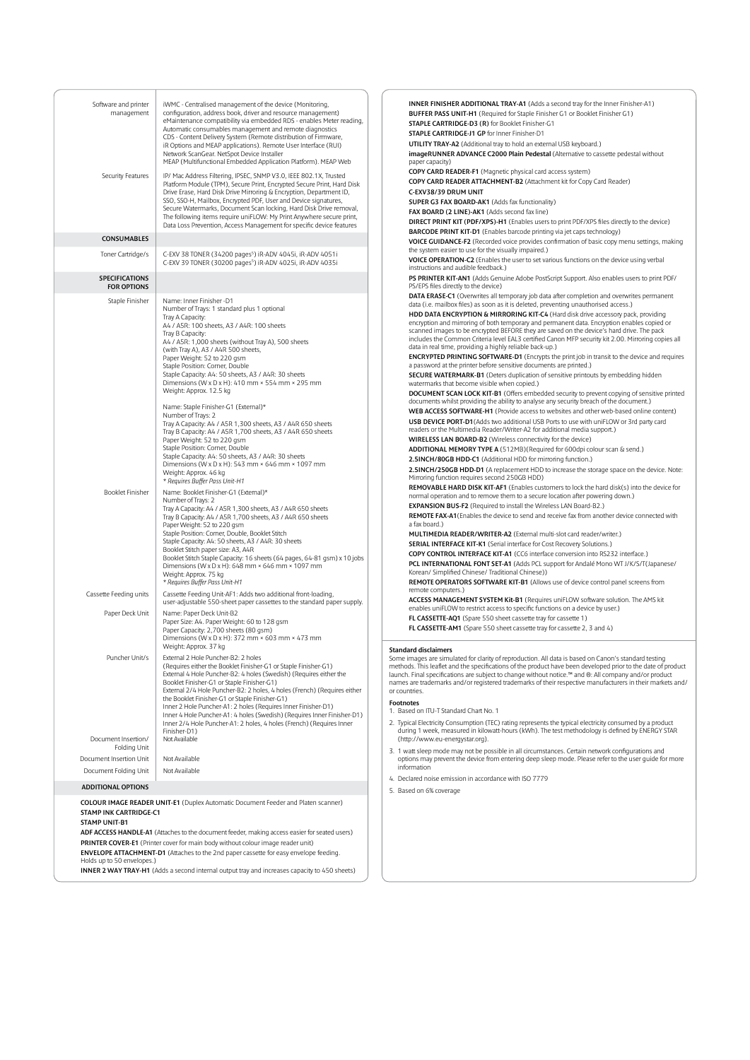| Software and printer<br>management             | iWMC - Centralised management of the device (Monitoring,<br>configuration, address book, driver and resource management)<br>eMaintenance compatibility via embedded RDS - enables Meter reading,<br>Automatic consumables management and remote diagnostics                                                                                                                        | INNER FINISHER ADDITIONAL TRAY-A1 (Adds a second tray for the Inner Finisher-A1)<br>BUFFER PASS UNIT-H1 (Required for Staple Finisher G1 or Booklet Finisher G1)<br>STAPLE CARTRIDGE-D3 (R) for Booklet Finisher-G1<br>STAPLE CARTRIDGE-J1 GP for Inner Finisher-D1                                                                                                                                                                              |
|------------------------------------------------|------------------------------------------------------------------------------------------------------------------------------------------------------------------------------------------------------------------------------------------------------------------------------------------------------------------------------------------------------------------------------------|--------------------------------------------------------------------------------------------------------------------------------------------------------------------------------------------------------------------------------------------------------------------------------------------------------------------------------------------------------------------------------------------------------------------------------------------------|
|                                                | CDS - Content Delivery System (Remote distribution of Firmware,<br>iR Options and MEAP applications). Remote User Interface (RUI)<br>Network ScanGear. NetSpot Device Installer<br>MEAP (Multifunctional Embedded Application Platform). MEAP Web                                                                                                                                  | UTILITY TRAY-A2 (Additional tray to hold an external USB keyboard.)<br>imageRUNNER ADVANCE C2000 Plain Pedestal (Alternative to cassette pedestal without<br>paper capacity)                                                                                                                                                                                                                                                                     |
| Security Features                              | IP/ Mac Address Filtering, IPSEC, SNMP V3.0, IEEE 802.1X, Trusted                                                                                                                                                                                                                                                                                                                  | COPY CARD READER-F1 (Magnetic physical card access system)                                                                                                                                                                                                                                                                                                                                                                                       |
|                                                | Platform Module (TPM), Secure Print, Encrypted Secure Print, Hard Disk                                                                                                                                                                                                                                                                                                             | COPY CARD READER ATTACHMENT-B2 (Attachment kit for Copy Card Reader)                                                                                                                                                                                                                                                                                                                                                                             |
|                                                | Drive Erase, Hard Disk Drive Mirroring & Encryption, Department ID,<br>SSO, SSO-H, Mailbox, Encrypted PDF, User and Device signatures,                                                                                                                                                                                                                                             | C-EXV38/39 DRUM UNIT<br>SUPER G3 FAX BOARD-AK1 (Adds fax functionality)                                                                                                                                                                                                                                                                                                                                                                          |
|                                                | Secure Watermarks, Document Scan locking, Hard Disk Drive removal,                                                                                                                                                                                                                                                                                                                 | FAX BOARD (2 LINE)-AK1 (Adds second fax line)                                                                                                                                                                                                                                                                                                                                                                                                    |
|                                                | The following items require uniFLOW: My Print Anywhere secure print,<br>Data Loss Prevention, Access Management for specific device features                                                                                                                                                                                                                                       | DIRECT PRINT KIT (PDF/XPS)-H1 (Enables users to print PDF/XPS files directly to the device)                                                                                                                                                                                                                                                                                                                                                      |
| <b>CONSUMABLES</b>                             |                                                                                                                                                                                                                                                                                                                                                                                    | <b>BARCODE PRINT KIT-D1</b> (Enables barcode printing via jet caps technology)<br>VOICE GUIDANCE-F2 (Recorded voice provides confirmation of basic copy menu settings, making                                                                                                                                                                                                                                                                    |
| Toner Cartridge/s                              | C-EXV 38 TONER (34200 pages <sup>5</sup> ) iR-ADV 4045i, iR-ADV 4051i<br>C-EXV 39 TONER (30200 pages <sup>5</sup> ) iR-ADV 4025i, iR-ADV 4035i                                                                                                                                                                                                                                     | the system easier to use for the visually impaired.)<br>VOICE OPERATION-C2 (Enables the user to set various functions on the device using verbal<br>instructions and audible feedback.)                                                                                                                                                                                                                                                          |
| <b>SPECIFICATIONS</b><br><b>FOR OPTIONS</b>    |                                                                                                                                                                                                                                                                                                                                                                                    | PS PRINTER KIT-AN1 (Adds Genuine Adobe PostScript Support. Also enables users to print PDF/<br>PS/EPS files directly to the device)                                                                                                                                                                                                                                                                                                              |
| Staple Finisher                                | Name: Inner Finisher -D1                                                                                                                                                                                                                                                                                                                                                           | DATA ERASE-C1 (Overwrites all temporary job data after completion and overwrites permanent<br>data (i.e. mailbox files) as soon as it is deleted, preventing unauthorised access.)                                                                                                                                                                                                                                                               |
|                                                | Number of Trays: 1 standard plus 1 optional<br>Tray A Capacity:<br>A4 / A5R: 100 sheets, A3 / A4R: 100 sheets<br>Tray B Capacity:<br>A4 / A5R: 1,000 sheets (without Tray A), 500 sheets<br>(with Tray A), A3 / A4R 500 sheets,                                                                                                                                                    | HDD DATA ENCRYPTION & MIRRORING KIT-C4 (Hard disk drive accessory pack, providing<br>encryption and mirroring of both temporary and permanent data. Encryption enables copied or<br>scanned images to be encrypted BEFORE they are saved on the device's hard drive. The pack<br>includes the Common Criteria level EAL3 certified Canon MFP security kit 2.00. Mirroring copies all<br>data in real time, providing a highly reliable back-up.) |
|                                                | Paper Weight: 52 to 220 gsm<br>Staple Position: Corner, Double                                                                                                                                                                                                                                                                                                                     | <b>ENCRYPTED PRINTING SOFTWARE-D1</b> (Encrypts the print job in transit to the device and requires<br>a password at the printer before sensitive documents are printed.)                                                                                                                                                                                                                                                                        |
|                                                | Staple Capacity: A4: 50 sheets, A3 / A4R: 30 sheets                                                                                                                                                                                                                                                                                                                                | <b>SECURE WATERMARK-B1</b> (Deters duplication of sensitive printouts by embedding hidden                                                                                                                                                                                                                                                                                                                                                        |
|                                                | Dimensions (W x D x H): 410 mm $\times$ 554 mm $\times$ 295 mm<br>Weight: Approx. 12.5 kg                                                                                                                                                                                                                                                                                          | watermarks that become visible when copied.)                                                                                                                                                                                                                                                                                                                                                                                                     |
|                                                |                                                                                                                                                                                                                                                                                                                                                                                    | DOCUMENT SCAN LOCK KIT-B1 (Offers embedded security to prevent copying of sensitive printed<br>documents whilst providing the ability to analyse any security breach of the document.)                                                                                                                                                                                                                                                           |
|                                                | Name: Staple Finisher-G1 (External)*<br>Number of Trays: 2                                                                                                                                                                                                                                                                                                                         | WEB ACCESS SOFTWARE-H1 (Provide access to websites and other web-based online content)                                                                                                                                                                                                                                                                                                                                                           |
|                                                | Tray A Capacity: A4 / A5R 1,300 sheets, A3 / A4R 650 sheets                                                                                                                                                                                                                                                                                                                        | USB DEVICE PORT-D1 (Adds two additional USB Ports to use with uniFLOW or 3rd party card                                                                                                                                                                                                                                                                                                                                                          |
|                                                | Tray B Capacity: A4 / A5R 1,700 sheets, A3 / A4R 650 sheets<br>Paper Weight: 52 to 220 gsm                                                                                                                                                                                                                                                                                         | readers or the Multimedia Reader/Writer-A2 for additional media support.)<br>WIRELESS LAN BOARD-B2 (Wireless connectivity for the device)                                                                                                                                                                                                                                                                                                        |
|                                                | Staple Position: Corner, Double                                                                                                                                                                                                                                                                                                                                                    | ADDITIONAL MEMORY TYPE A (512MB)(Required for 600dpi colour scan & send.)                                                                                                                                                                                                                                                                                                                                                                        |
|                                                | Staple Capacity: A4: 50 sheets, A3 / A4R: 30 sheets<br>Dimensions (W x D x H): 543 mm × 646 mm × 1097 mm                                                                                                                                                                                                                                                                           | 2.5INCH/80GB HDD-C1 (Additional HDD for mirroring function.)                                                                                                                                                                                                                                                                                                                                                                                     |
|                                                | Weight: Approx. 46 kg<br>* Requires Buffer Pass Unit-H1                                                                                                                                                                                                                                                                                                                            | 2.5INCH/250GB HDD-D1 (A replacement HDD to increase the storage space on the device. Note:<br>Mirroring function requires second 250GB HDD)                                                                                                                                                                                                                                                                                                      |
| Booklet Finisher                               | Name: Booklet Finisher-G1 (External)*                                                                                                                                                                                                                                                                                                                                              | REMOVABLE HARD DISK KIT-AF1 (Enables customers to lock the hard disk(s) into the device for<br>normal operation and to remove them to a secure location after powering down.)                                                                                                                                                                                                                                                                    |
|                                                | Number of Trays: 2<br>Tray A Capacity: A4 / A5R 1,300 sheets, A3 / A4R 650 sheets                                                                                                                                                                                                                                                                                                  | <b>EXPANSION BUS-F2</b> (Required to install the Wireless LAN Board-B2.)                                                                                                                                                                                                                                                                                                                                                                         |
|                                                | Tray B Capacity: A4 / A5R 1,700 sheets, A3 / A4R 650 sheets                                                                                                                                                                                                                                                                                                                        | REMOTE FAX-A1 (Enables the device to send and receive fax from another device connected with<br>a fax board.)                                                                                                                                                                                                                                                                                                                                    |
|                                                | Paper Weight: 52 to 220 gsm<br>Staple Position: Corner, Double, Booklet Stitch                                                                                                                                                                                                                                                                                                     | MULTIMEDIA READER/WRITER-A2 (External multi-slot card reader/writer.)                                                                                                                                                                                                                                                                                                                                                                            |
|                                                | Staple Capacity: A4: 50 sheets, A3 / A4R: 30 sheets                                                                                                                                                                                                                                                                                                                                | SERIAL INTERFACE KIT-K1 (Serial interface for Cost Recovery Solutions.)                                                                                                                                                                                                                                                                                                                                                                          |
|                                                | Booklet Stitch paper size: A3, A4R<br>Booklet Stitch Staple Capacity: 16 sheets (64 pages, 64-81 gsm) x 10 jobs                                                                                                                                                                                                                                                                    | COPY CONTROL INTERFACE KIT-A1 (CC6 interface conversion into RS232 interface.)                                                                                                                                                                                                                                                                                                                                                                   |
|                                                | Dimensions (W x D x H): 648 mm × 646 mm × 1097 mm<br>Weight: Approx. 75 kg                                                                                                                                                                                                                                                                                                         | PCL INTERNATIONAL FONT SET-A1 (Adds PCL support for Andalé Mono WT J/K/S/T(Japanese/<br>Korean/ Simplified Chinese/ Traditional Chinese))                                                                                                                                                                                                                                                                                                        |
| Cassette Feeding units                         | * Requires Buffer Pass Unit-H1<br>Cassette Feeding Unit-AF1: Adds two additional front-loading,                                                                                                                                                                                                                                                                                    | REMOTE OPERATORS SOFTWARE KIT-B1 (Allows use of device control panel screens from<br>remote computers.)                                                                                                                                                                                                                                                                                                                                          |
|                                                | user-adjustable 550-sheet paper cassettes to the standard paper supply.                                                                                                                                                                                                                                                                                                            | ACCESS MANAGEMENT SYSTEM Kit-B1 (Requires uniFLOW software solution. The AMS kit<br>enables uniFLOW to restrict access to specific functions on a device by user.)                                                                                                                                                                                                                                                                               |
| Paper Deck Unit                                | Name: Paper Deck Unit-B2                                                                                                                                                                                                                                                                                                                                                           | FL CASSETTE-AQ1 (Spare 550 sheet cassette tray for cassette 1)                                                                                                                                                                                                                                                                                                                                                                                   |
|                                                | Paper Size: A4. Paper Weight: 60 to 128 gsm<br>Paper Capacity: 2,700 sheets (80 gsm)<br>Dimensions (W x D x H): 372 mm × 603 mm × 473 mm<br>Weight: Approx. 37 kg                                                                                                                                                                                                                  | FL CASSETTE-AM1 (Spare 550 sheet cassette tray for cassette 2, 3 and 4)                                                                                                                                                                                                                                                                                                                                                                          |
| Puncher Unit/s                                 | External 2 Hole Puncher-B2: 2 holes                                                                                                                                                                                                                                                                                                                                                | <b>Standard disclaimers</b><br>Some images are simulated for clarity of reproduction. All data is based on Canon's standard testing                                                                                                                                                                                                                                                                                                              |
|                                                | (Requires either the Booklet Finisher-G1 or Staple Finisher-G1)<br>External 4 Hole Puncher-B2: 4 holes (Swedish) (Requires either the<br>Booklet Finisher-G1 or Staple Finisher-G1)<br>External 2/4 Hole Puncher-B2: 2 holes, 4 holes (French) (Requires either<br>the Booklet Finisher-G1 or Staple Finisher-G1)<br>Inner 2 Hole Puncher-A1: 2 holes (Requires Inner Finisher-D1) | methods. This leaflet and the specifications of the product have been developed prior to the date of product<br>launch. Final specifications are subject to change without notice.™ and ®: All company and/or product<br>names are trademarks and/or registered trademarks of their respective manufacturers in their markets and/<br>or countries.<br><b>Footnotes</b><br>1. Based on ITU-T Standard Chart No. 1                                |
|                                                | Inner 4 Hole Puncher-A1: 4 holes (Swedish) (Requires Inner Finisher-D1)<br>Inner 2/4 Hole Puncher-A1: 2 holes, 4 holes (French) (Requires Inner<br>Finisher-D1)                                                                                                                                                                                                                    | 2. Typical Electricity Consumption (TEC) rating represents the typical electricity consumed by a product<br>during 1 week, measured in kilowatt-hours (kWh). The test methodology is defined by ENERGY STAR                                                                                                                                                                                                                                      |
| Document Insertion/<br>Folding Unit            | Not Available                                                                                                                                                                                                                                                                                                                                                                      | (http://www.eu-energystar.org).<br>3. 1 watt sleep mode may not be possible in all circumstances. Certain network configurations and                                                                                                                                                                                                                                                                                                             |
| Document Insertion Unit                        | Not Available                                                                                                                                                                                                                                                                                                                                                                      | options may prevent the device from entering deep sleep mode. Please refer to the user quide for more<br>information                                                                                                                                                                                                                                                                                                                             |
| Document Folding Unit                          | Not Available                                                                                                                                                                                                                                                                                                                                                                      | 4. Declared noise emission in accordance with ISO 7779                                                                                                                                                                                                                                                                                                                                                                                           |
| <b>ADDITIONAL OPTIONS</b>                      |                                                                                                                                                                                                                                                                                                                                                                                    | 5. Based on 6% coverage                                                                                                                                                                                                                                                                                                                                                                                                                          |
| STAMP INK CARTRIDGE-C1<br><b>STAMP UNIT-B1</b> | <b>COLOUR IMAGE READER UNIT-E1</b> (Duplex Automatic Document Feeder and Platen scanner)                                                                                                                                                                                                                                                                                           |                                                                                                                                                                                                                                                                                                                                                                                                                                                  |
|                                                | ADF ACCESS HANDLE-A1 (Attaches to the document feeder, making access easier for seated users)                                                                                                                                                                                                                                                                                      |                                                                                                                                                                                                                                                                                                                                                                                                                                                  |
|                                                | PRINTER COVER-E1 (Printer cover for main body without colour image reader unit)                                                                                                                                                                                                                                                                                                    |                                                                                                                                                                                                                                                                                                                                                                                                                                                  |
| Holds up to 50 envelopes.)                     | ENVELOPE ATTACHMENT-D1 (Attaches to the 2nd paper cassette for easy envelope feeding.                                                                                                                                                                                                                                                                                              |                                                                                                                                                                                                                                                                                                                                                                                                                                                  |
|                                                | INNER 2 WAY TRAY-H1 (Adds a second internal output tray and increases capacity to 450 sheets)                                                                                                                                                                                                                                                                                      |                                                                                                                                                                                                                                                                                                                                                                                                                                                  |